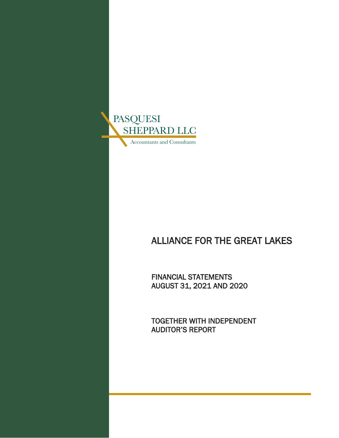

FINANCIAL STATEMENTS AUGUST 31, 2021 AND 2020

TOGETHER WITH INDEPENDENT AUDITOR'S REPORT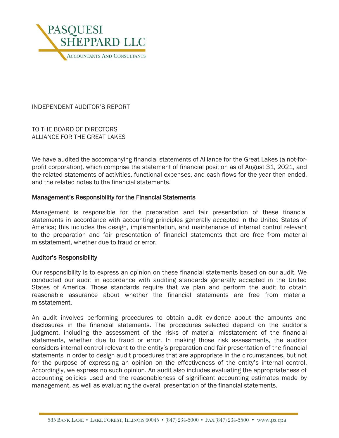

### INDEPENDENT AUDITOR'S REPORT

TO THE BOARD OF DIRECTORS ALLIANCE FOR THE GREAT LAKES

We have audited the accompanying financial statements of Alliance for the Great Lakes (a not-forprofit corporation), which comprise the statement of financial position as of August 31, 2021, and the related statements of activities, functional expenses, and cash flows for the year then ended, and the related notes to the financial statements.

#### Management's Responsibility for the Financial Statements

Management is responsible for the preparation and fair presentation of these financial statements in accordance with accounting principles generally accepted in the United States of America; this includes the design, implementation, and maintenance of internal control relevant to the preparation and fair presentation of financial statements that are free from material misstatement, whether due to fraud or error.

#### Auditor's Responsibility

Our responsibility is to express an opinion on these financial statements based on our audit. We conducted our audit in accordance with auditing standards generally accepted in the United States of America. Those standards require that we plan and perform the audit to obtain reasonable assurance about whether the financial statements are free from material misstatement.

An audit involves performing procedures to obtain audit evidence about the amounts and disclosures in the financial statements. The procedures selected depend on the auditor's judgment, including the assessment of the risks of material misstatement of the financial statements, whether due to fraud or error. In making those risk assessments, the auditor considers internal control relevant to the entity's preparation and fair presentation of the financial statements in order to design audit procedures that are appropriate in the circumstances, but not for the purpose of expressing an opinion on the effectiveness of the entity's internal control. Accordingly, we express no such opinion. An audit also includes evaluating the appropriateness of accounting policies used and the reasonableness of significant accounting estimates made by management, as well as evaluating the overall presentation of the financial statements.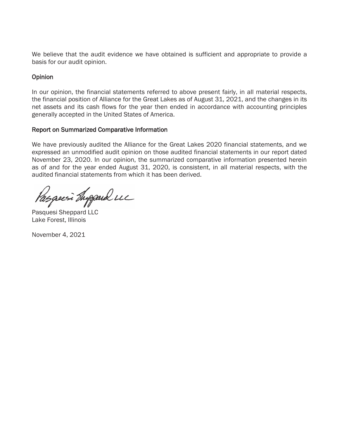We believe that the audit evidence we have obtained is sufficient and appropriate to provide a basis for our audit opinion.

# **Opinion**

In our opinion, the financial statements referred to above present fairly, in all material respects, the financial position of Alliance for the Great Lakes as of August 31, 2021, and the changes in its net assets and its cash flows for the year then ended in accordance with accounting principles generally accepted in the United States of America.

#### Report on Summarized Comparative Information

We have previously audited the Alliance for the Great Lakes 2020 financial statements, and we expressed an unmodified audit opinion on those audited financial statements in our report dated November 23, 2020. In our opinion, the summarized comparative information presented herein as of and for the year ended August 31, 2020, is consistent, in all material respects, with the audited financial statements from which it has been derived.

Pasquesi Thygand LLC

Pasquesi Sheppard LLC Lake Forest, Illinois

November 4, 2021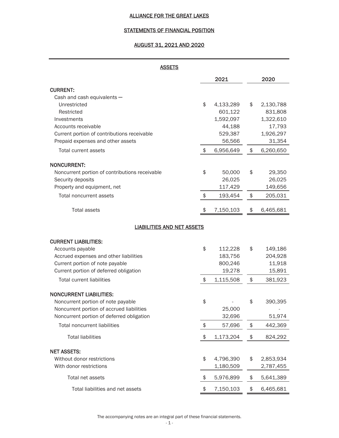#### STATEMENTS OF FINANCIAL POSITION

# AUGUST 31, 2021 AND 2020

#### **ASSETS**

|                                                |               | 2021      | 2020            |
|------------------------------------------------|---------------|-----------|-----------------|
| <b>CURRENT:</b>                                |               |           |                 |
| Cash and cash equivalents -                    |               |           |                 |
| Unrestricted                                   | \$            | 4,133,289 | \$<br>2,130,788 |
| Restricted                                     |               | 601,122   | 831,808         |
| Investments                                    |               | 1,592,097 | 1,322,610       |
| Accounts receivable                            |               | 44,188    | 17,793          |
| Current portion of contributions receivable    |               | 529,387   | 1,926,297       |
| Prepaid expenses and other assets              |               | 56,566    | 31,354          |
| Total current assets                           | \$            | 6,956,649 | \$<br>6,260,650 |
| <b>NONCURRENT:</b>                             |               |           |                 |
| Noncurrent portion of contributions receivable | \$            | 50,000    | \$<br>29,350    |
| Security deposits                              |               | 26,025    | 26,025          |
| Property and equipment, net                    |               | 117,429   | 149,656         |
| Total noncurrent assets                        | \$            | 193,454   | \$<br>205,031   |
| <b>Total assets</b>                            | \$            | 7,150,103 | \$<br>6,465,681 |
| <b>LIABILITIES AND NET ASSETS</b>              |               |           |                 |
| <b>CURRENT LIABILITIES:</b>                    |               |           |                 |
| Accounts payable                               | \$            | 112,228   | \$<br>149,186   |
| Accrued expenses and other liabilities         |               | 183,756   | 204,928         |
| Current portion of note payable                |               | 800,246   | 11,918          |
| Current portion of deferred obligation         |               | 19,278    | 15,891          |
| <b>Total current liabilities</b>               | $\frac{1}{2}$ | 1,115,508 | \$<br>381,923   |
| <b>NONCURRENT LIABILITIES:</b>                 |               |           |                 |
| Noncurrent portion of note payable             | \$            |           | \$<br>390,395   |
| Noncurrent portion of accrued liabilities      |               | 25,000    |                 |
| Noncurrent portion of deferred obligation      |               | 32,696    | 51,974          |
| <b>Total noncurrent liabilities</b>            | \$            | 57,696    | \$<br>442,369   |
| <b>Total liabilities</b>                       | $\pmb{\$}$    | 1,173,204 | \$<br>824,292   |
| <b>NET ASSETS:</b>                             |               |           |                 |
| Without donor restrictions                     | \$            | 4,796,390 | \$<br>2,853,934 |
| With donor restrictions                        |               | 1,180,509 | 2,787,455       |
| Total net assets                               | \$            | 5,976,899 | \$<br>5,641,389 |
| Total liabilities and net assets               | \$            | 7,150,103 | \$<br>6,465,681 |

The accompanying notes are an integral part of these financial statements.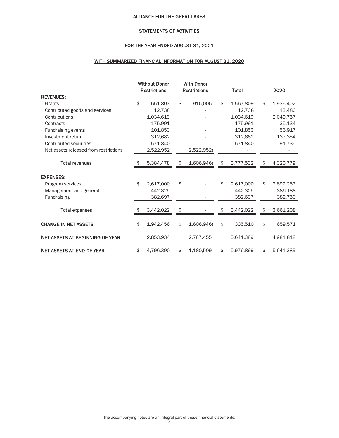#### STATEMENTS OF ACTIVITIES

#### FOR THE YEAR ENDED AUGUST 31, 2021

#### WITH SUMMARIZED FINANCIAL INFORMATION FOR AUGUST 31, 2020

|                                        |     | <b>Without Donor</b><br><b>Restrictions</b> | <b>With Donor</b><br><b>Restrictions</b><br>Total |    |           | 2020            |
|----------------------------------------|-----|---------------------------------------------|---------------------------------------------------|----|-----------|-----------------|
| <b>REVENUES:</b>                       |     |                                             |                                                   |    |           |                 |
| Grants                                 | \$  | 651,803                                     | \$<br>916,006                                     | \$ | 1,567,809 | \$<br>1,936,402 |
| Contributed goods and services         |     | 12,738                                      |                                                   |    | 12,738    | 13,480          |
| Contributions                          |     | 1,034,619                                   |                                                   |    | 1,034,619 | 2,049,757       |
| Contracts                              |     | 175.991                                     |                                                   |    | 175.991   | 35,134          |
| <b>Fundraising events</b>              |     | 101,853                                     |                                                   |    | 101,853   | 56,917          |
| Investment return                      |     | 312,682                                     |                                                   |    | 312,682   | 137,354         |
| Contributed securities                 |     | 571,840                                     |                                                   |    | 571,840   | 91,735          |
| Net assets released from restrictions  |     | 2,522,952                                   | (2,522,952)                                       |    |           |                 |
| <b>Total revenues</b>                  | \$  | 5,384,478                                   | \$<br>(1,606,946)                                 | \$ | 3,777,532 | \$<br>4,320,779 |
| <b>EXPENSES:</b>                       |     |                                             |                                                   |    |           |                 |
| Program services                       | \$  | 2,617,000                                   | \$                                                | \$ | 2,617,000 | \$<br>2,892,267 |
| Management and general                 |     | 442,325                                     |                                                   |    | 442,325   | 386,188         |
| Fundraising                            |     | 382,697                                     |                                                   |    | 382,697   | 382,753         |
|                                        |     |                                             |                                                   |    |           |                 |
| Total expenses                         | \$. | 3,442,022                                   | \$                                                | \$ | 3,442,022 | \$<br>3,661,208 |
| <b>CHANGE IN NET ASSETS</b>            | \$  | 1,942,456                                   | \$<br>(1,606,946)                                 | \$ | 335,510   | \$<br>659,571   |
| <b>NET ASSETS AT BEGINNING OF YEAR</b> |     | 2,853,934                                   | 2,787,455                                         |    | 5,641,389 | 4,981,818       |
| <b>NET ASSETS AT END OF YEAR</b>       | \$  | 4,796,390                                   | \$<br>1,180,509                                   | \$ | 5,976,899 | \$<br>5,641,389 |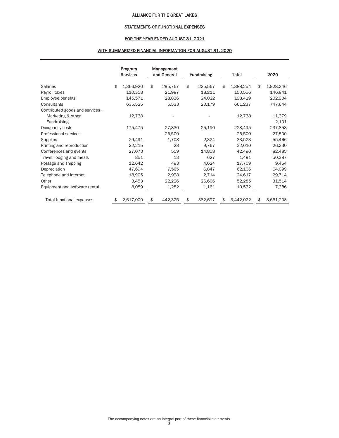#### STATEMENTS OF FUNCTIONAL EXPENSES

#### FOR THE YEAR ENDED AUGUST 31, 2021

#### WITH SUMMARIZED FINANCIAL INFORMATION FOR AUGUST 31, 2020

|                                  | Program         |             | Management |                    |         |                 |                 |
|----------------------------------|-----------------|-------------|------------|--------------------|---------|-----------------|-----------------|
|                                  | <b>Services</b> | and General |            | <b>Fundraising</b> | Total   | 2020            |                 |
| <b>Salaries</b>                  | \$<br>1,366,920 | \$          | 295,767    | \$                 | 225,567 | \$<br>1,888,254 | \$<br>1,928,246 |
| Payroll taxes                    | 110,358         |             | 21,987     |                    | 18,211  | 150,556         | 146,841         |
| Employee benefits                | 145,571         |             | 28,836     |                    | 24,022  | 198,429         | 202,904         |
| Consultants                      | 635,525         |             | 5,533      |                    | 20,179  | 661,237         | 747,644         |
| Contributed goods and services - |                 |             |            |                    |         |                 |                 |
| Marketing & other                | 12,738          |             |            |                    |         | 12,738          | 11,379          |
| Fundraising                      |                 |             |            |                    |         |                 | 2,101           |
| Occupancy costs                  | 175,475         |             | 27,830     |                    | 25,190  | 228,495         | 237,858         |
| Professional services            |                 |             | 25,500     |                    |         | 25,500          | 27,500          |
| <b>Supplies</b>                  | 29,491          |             | 1,708      |                    | 2,324   | 33,523          | 55,466          |
| Printing and reproduction        | 22,215          |             | 28         |                    | 9,767   | 32,010          | 26,230          |
| Conferences and events           | 27,073          |             | 559        |                    | 14,858  | 42,490          | 82,485          |
| Travel, lodging and meals        | 851             |             | 13         |                    | 627     | 1,491           | 50,387          |
| Postage and shipping             | 12,642          |             | 493        |                    | 4,624   | 17,759          | 9,454           |
| Depreciation                     | 47,694          |             | 7,565      |                    | 6,847   | 62,106          | 64,099          |
| Telephone and internet           | 18,905          |             | 2,998      |                    | 2,714   | 24,617          | 29,714          |
| Other                            | 3,453           |             | 22,226     |                    | 26,606  | 52,285          | 31,514          |
| Equipment and software rental    | 8,089           |             | 1,282      |                    | 1,161   | 10,532          | 7,386           |
| <b>Total functional expenses</b> | \$<br>2,617,000 | \$          | 442,325    | \$                 | 382,697 | \$<br>3,442,022 | \$<br>3,661,208 |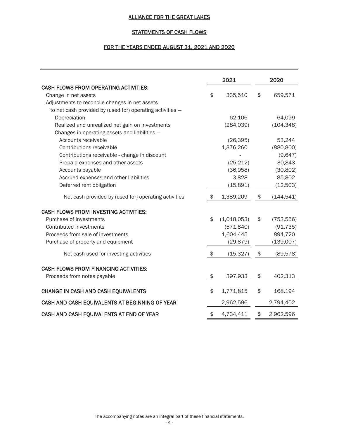#### STATEMENTS OF CASH FLOWS

#### FOR THE YEARS ENDED AUGUST 31, 2021 AND 2020

|                                                           | 2021 |             |               | 2020       |  |  |
|-----------------------------------------------------------|------|-------------|---------------|------------|--|--|
| <b>CASH FLOWS FROM OPERATING ACTIVITIES:</b>              |      |             |               |            |  |  |
| Change in net assets                                      | \$   | 335,510     | \$            | 659,571    |  |  |
| Adjustments to reconcile changes in net assets            |      |             |               |            |  |  |
| to net cash provided by (used for) operating activities - |      |             |               |            |  |  |
| Depreciation                                              |      | 62,106      |               | 64,099     |  |  |
| Realized and unrealized net gain on investments           |      | (284, 039)  |               | (104, 348) |  |  |
| Changes in operating assets and liabilities -             |      |             |               |            |  |  |
| Accounts receivable                                       |      | (26, 395)   |               | 53,244     |  |  |
| Contributions receivable                                  |      | 1,376,260   |               | (880, 800) |  |  |
| Contributions receivable - change in discount             |      |             |               | (9,647)    |  |  |
| Prepaid expenses and other assets                         |      | (25, 212)   |               | 30,843     |  |  |
| Accounts payable                                          |      | (36,958)    |               | (30, 802)  |  |  |
| Accrued expenses and other liabilities                    |      | 3,828       |               | 85,802     |  |  |
| Deferred rent obligation                                  |      | (15, 891)   |               | (12,503)   |  |  |
| Net cash provided by (used for) operating activities      | \$   | 1,389,209   | $\frac{1}{2}$ | (144, 541) |  |  |
| CASH FLOWS FROM INVESTING ACTIVITIES:                     |      |             |               |            |  |  |
| Purchase of investments                                   | \$   | (1,018,053) | \$            | (753, 556) |  |  |
| Contributed investments                                   |      | (571, 840)  |               | (91, 735)  |  |  |
| Proceeds from sale of investments                         |      | 1,604,445   |               | 894,720    |  |  |
| Purchase of property and equipment                        |      | (29, 879)   |               | (139,007)  |  |  |
| Net cash used for investing activities                    | \$   | (15, 327)   | \$            | (89, 578)  |  |  |
|                                                           |      |             |               |            |  |  |
| <b>CASH FLOWS FROM FINANCING ACTIVITIES:</b>              |      |             |               |            |  |  |
| Proceeds from notes payable                               | \$   | 397,933     | \$            | 402,313    |  |  |
| CHANGE IN CASH AND CASH EQUIVALENTS                       | \$   | 1,771,815   | \$            | 168,194    |  |  |
| CASH AND CASH EQUIVALENTS AT BEGINNING OF YEAR            |      | 2,962,596   |               | 2,794,402  |  |  |
| CASH AND CASH EQUIVALENTS AT END OF YEAR                  | \$   | 4,734,411   | \$            | 2,962,596  |  |  |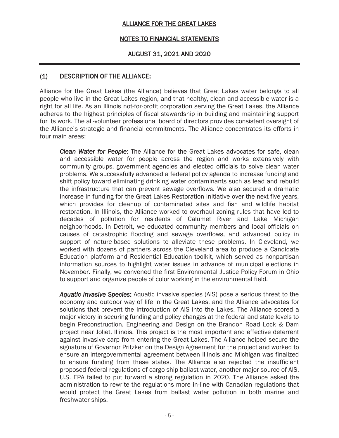# NOTES TO FINANCIAL STATEMENTS

# AUGUST 31, 2021 AND 2020

### (1) DESCRIPTION OF THE ALLIANCE:

Alliance for the Great Lakes (the Alliance) believes that Great Lakes water belongs to all people who live in the Great Lakes region, and that healthy, clean and accessible water is a right for all life. As an Illinois not-for-profit corporation serving the Great Lakes, the Alliance adheres to the highest principles of fiscal stewardship in building and maintaining support for its work. The all-volunteer professional board of directors provides consistent oversight of the Alliance's strategic and financial commitments. The Alliance concentrates its efforts in four main areas:

*Clean Water for People*: The Alliance for the Great Lakes advocates for safe, clean and accessible water for people across the region and works extensively with community groups, government agencies and elected officials to solve clean water problems. We successfully advanced a federal policy agenda to increase funding and shift policy toward eliminating drinking water contaminants such as lead and rebuild the infrastructure that can prevent sewage overflows. We also secured a dramatic increase in funding for the Great Lakes Restoration Initiative over the next five years, which provides for cleanup of contaminated sites and fish and wildlife habitat restoration. In Illinois, the Alliance worked to overhaul zoning rules that have led to decades of pollution for residents of Calumet River and Lake Michigan neighborhoods. In Detroit, we educated community members and local officials on causes of catastrophic flooding and sewage overflows, and advanced policy in support of nature-based solutions to alleviate these problems. In Cleveland, we worked with dozens of partners across the Cleveland area to produce a Candidate Education platform and Residential Education toolkit, which served as nonpartisan information sources to highlight water issues in advance of municipal elections in November. Finally, we convened the first Environmental Justice Policy Forum in Ohio to support and organize people of color working in the environmental field.

*Aquatic Invasive Species*: Aquatic invasive species (AIS) pose a serious threat to the economy and outdoor way of life in the Great Lakes, and the Alliance advocates for solutions that prevent the introduction of AIS into the Lakes. The Alliance scored a major victory in securing funding and policy changes at the federal and state levels to begin Preconstruction, Engineering and Design on the Brandon Road Lock & Dam project near Joliet, Illinois. This project is the most important and effective deterrent against invasive carp from entering the Great Lakes. The Alliance helped secure the signature of Governor Pritzker on the Design Agreement for the project and worked to ensure an intergovernmental agreement between Illinois and Michigan was finalized to ensure funding from these states. The Alliance also rejected the insufficient proposed federal regulations of cargo ship ballast water, another major source of AIS. U.S. EPA failed to put forward a strong regulation in 2020. The Alliance asked the administration to rewrite the regulations more in-line with Canadian regulations that would protect the Great Lakes from ballast water pollution in both marine and freshwater ships.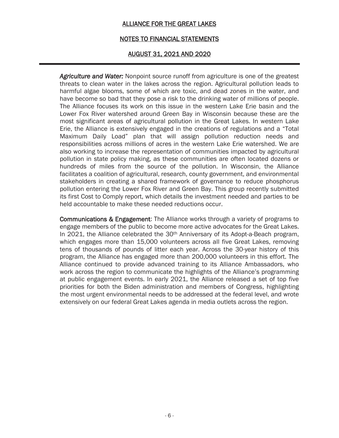### NOTES TO FINANCIAL STATEMENTS

# AUGUST 31, 2021 AND 2020

*Agriculture and Water:* Nonpoint source runoff from agriculture is one of the greatest threats to clean water in the lakes across the region. Agricultural pollution leads to harmful algae blooms, some of which are toxic, and dead zones in the water, and have become so bad that they pose a risk to the drinking water of millions of people. The Alliance focuses its work on this issue in the western Lake Erie basin and the Lower Fox River watershed around Green Bay in Wisconsin because these are the most significant areas of agricultural pollution in the Great Lakes. In western Lake Erie, the Alliance is extensively engaged in the creations of regulations and a "Total Maximum Daily Load" plan that will assign pollution reduction needs and responsibilities across millions of acres in the western Lake Erie watershed. We are also working to increase the representation of communities impacted by agricultural pollution in state policy making, as these communities are often located dozens or hundreds of miles from the source of the pollution. In Wisconsin, the Alliance facilitates a coalition of agricultural, research, county government, and environmental stakeholders in creating a shared framework of governance to reduce phosphorus pollution entering the Lower Fox River and Green Bay. This group recently submitted its first Cost to Comply report, which details the investment needed and parties to be held accountable to make these needed reductions occur.

Communications & Engagement: The Alliance works through a variety of programs to engage members of the public to become more active advocates for the Great Lakes. In 2021, the Alliance celebrated the 30<sup>th</sup> Anniversary of its Adopt-a-Beach program, which engages more than 15,000 volunteers across all five Great Lakes, removing tens of thousands of pounds of litter each year. Across the 30-year history of this program, the Alliance has engaged more than 200,000 volunteers in this effort. The Alliance continued to provide advanced training to its Alliance Ambassadors, who work across the region to communicate the highlights of the Alliance's programming at public engagement events. In early 2021, the Alliance released a set of top five priorities for both the Biden administration and members of Congress, highlighting the most urgent environmental needs to be addressed at the federal level, and wrote extensively on our federal Great Lakes agenda in media outlets across the region.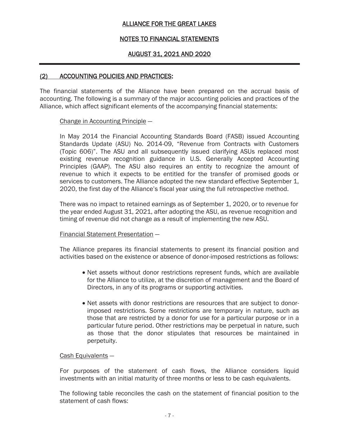# NOTES TO FINANCIAL STATEMENTS

# AUGUST 31, 2021 AND 2020

#### (2) ACCOUNTING POLICIES AND PRACTICES:

The financial statements of the Alliance have been prepared on the accrual basis of accounting. The following is a summary of the major accounting policies and practices of the Alliance, which affect significant elements of the accompanying financial statements:

#### Change in Accounting Principle —

In May 2014 the Financial Accounting Standards Board (FASB) issued Accounting Standards Update (ASU) No. 2014-09, "Revenue from Contracts with Customers (Topic 606)". The ASU and all subsequently issued clarifying ASUs replaced most existing revenue recognition guidance in U.S. Generally Accepted Accounting Principles (GAAP). The ASU also requires an entity to recognize the amount of revenue to which it expects to be entitled for the transfer of promised goods or services to customers. The Alliance adopted the new standard effective September 1, 2020, the first day of the Alliance's fiscal year using the full retrospective method.

There was no impact to retained earnings as of September 1, 2020, or to revenue for the year ended August 31, 2021, after adopting the ASU, as revenue recognition and timing of revenue did not change as a result of implementing the new ASU.

#### Financial Statement Presentation —

The Alliance prepares its financial statements to present its financial position and activities based on the existence or absence of donor-imposed restrictions as follows:

- Net assets without donor restrictions represent funds, which are available for the Alliance to utilize, at the discretion of management and the Board of Directors, in any of its programs or supporting activities.
- Net assets with donor restrictions are resources that are subject to donorimposed restrictions. Some restrictions are temporary in nature, such as those that are restricted by a donor for use for a particular purpose or in a particular future period. Other restrictions may be perpetual in nature, such as those that the donor stipulates that resources be maintained in perpetuity.

#### Cash Equivalents —

For purposes of the statement of cash flows, the Alliance considers liquid investments with an initial maturity of three months or less to be cash equivalents.

The following table reconciles the cash on the statement of financial position to the statement of cash flows: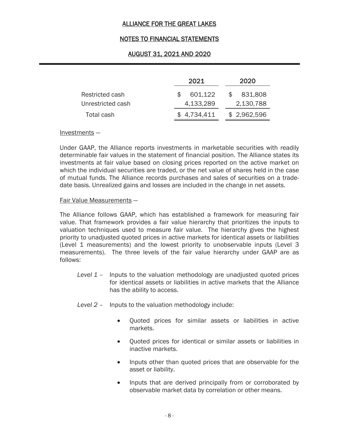# NOTES TO FINANCIAL STATEMENTS

# AUGUST 31, 2021 AND 2020

|                                      | 2021                 | 2020                      |
|--------------------------------------|----------------------|---------------------------|
| Restricted cash<br>Unrestricted cash | 601,122<br>4,133,289 | 831,808<br>£<br>2,130,788 |
| Total cash                           | \$4,734,411          | \$2,962,596               |

#### Investments —

Under GAAP, the Alliance reports investments in marketable securities with readily determinable fair values in the statement of financial position. The Alliance states its investments at fair value based on closing prices reported on the active market on which the individual securities are traded, or the net value of shares held in the case of mutual funds. The Alliance records purchases and sales of securities on a tradedate basis. Unrealized gains and losses are included in the change in net assets.

#### Fair Value Measurements —

The Alliance follows GAAP, which has established a framework for measuring fair value. That framework provides a fair value hierarchy that prioritizes the inputs to valuation techniques used to measure fair value. The hierarchy gives the highest priority to unadjusted quoted prices in active markets for identical assets or liabilities (Level 1 measurements) and the lowest priority to unobservable inputs (Level 3 measurements). The three levels of the fair value hierarchy under GAAP are as follows:

- *Level 1 –* Inputs to the valuation methodology are unadjusted quoted prices for identical assets or liabilities in active markets that the Alliance has the ability to access.
- *Level 2 –* Inputs to the valuation methodology include:
	- Ouoted prices for similar assets or liabilities in active markets.
	- Ouoted prices for identical or similar assets or liabilities in inactive markets.
	- Inputs other than quoted prices that are observable for the asset or liability.
	- Inputs that are derived principally from or corroborated by observable market data by correlation or other means.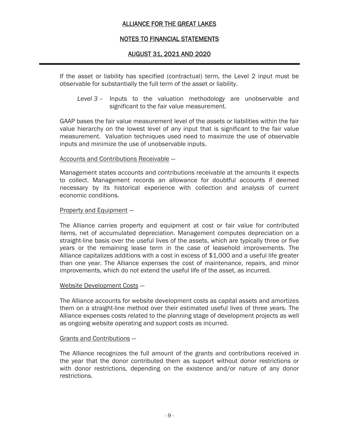### NOTES TO FINANCIAL STATEMENTS

# AUGUST 31, 2021 AND 2020

If the asset or liability has specified (contractual) term, the Level 2 input must be observable for substantially the full term of the asset or liability.

*Level 3 –* Inputs to the valuation methodology are unobservable and significant to the fair value measurement.

GAAP bases the fair value measurement level of the assets or liabilities within the fair value hierarchy on the lowest level of any input that is significant to the fair value measurement. Valuation techniques used need to maximize the use of observable inputs and minimize the use of unobservable inputs.

#### Accounts and Contributions Receivable —

Management states accounts and contributions receivable at the amounts it expects to collect. Management records an allowance for doubtful accounts if deemed necessary by its historical experience with collection and analysis of current economic conditions.

#### Property and Equipment —

The Alliance carries property and equipment at cost or fair value for contributed items, net of accumulated depreciation. Management computes depreciation on a straight-line basis over the useful lives of the assets, which are typically three or five years or the remaining lease term in the case of leasehold improvements. The Alliance capitalizes additions with a cost in excess of \$1,000 and a useful life greater than one year. The Alliance expenses the cost of maintenance, repairs, and minor improvements, which do not extend the useful life of the asset, as incurred.

#### Website Development Costs —

The Alliance accounts for website development costs as capital assets and amortizes them on a straight-line method over their estimated useful lives of three years. The Alliance expenses costs related to the planning stage of development projects as well as ongoing website operating and support costs as incurred.

#### Grants and Contributions —

The Alliance recognizes the full amount of the grants and contributions received in the year that the donor contributed them as support without donor restrictions or with donor restrictions, depending on the existence and/or nature of any donor restrictions.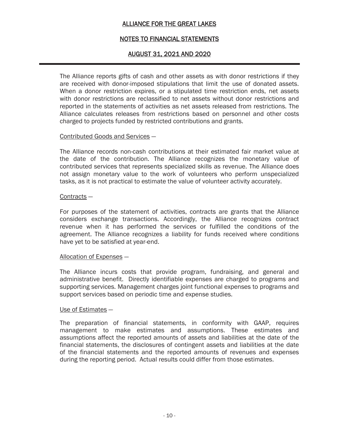# NOTES TO FINANCIAL STATEMENTS

# AUGUST 31, 2021 AND 2020

The Alliance reports gifts of cash and other assets as with donor restrictions if they are received with donor-imposed stipulations that limit the use of donated assets. When a donor restriction expires, or a stipulated time restriction ends, net assets with donor restrictions are reclassified to net assets without donor restrictions and reported in the statements of activities as net assets released from restrictions. The Alliance calculates releases from restrictions based on personnel and other costs charged to projects funded by restricted contributions and grants.

#### Contributed Goods and Services —

The Alliance records non-cash contributions at their estimated fair market value at the date of the contribution. The Alliance recognizes the monetary value of contributed services that represents specialized skills as revenue. The Alliance does not assign monetary value to the work of volunteers who perform unspecialized tasks, as it is not practical to estimate the value of volunteer activity accurately.

#### Contracts —

For purposes of the statement of activities, contracts are grants that the Alliance considers exchange transactions. Accordingly, the Alliance recognizes contract revenue when it has performed the services or fulfilled the conditions of the agreement. The Alliance recognizes a liability for funds received where conditions have yet to be satisfied at year-end.

#### Allocation of Expenses —

The Alliance incurs costs that provide program, fundraising, and general and administrative benefit. Directly identifiable expenses are charged to programs and supporting services. Management charges joint functional expenses to programs and support services based on periodic time and expense studies.

#### Use of Estimates —

The preparation of financial statements, in conformity with GAAP, requires management to make estimates and assumptions. These estimates and assumptions affect the reported amounts of assets and liabilities at the date of the financial statements, the disclosures of contingent assets and liabilities at the date of the financial statements and the reported amounts of revenues and expenses during the reporting period. Actual results could differ from those estimates.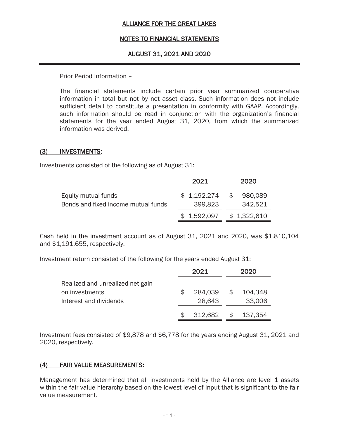# NOTES TO FINANCIAL STATEMENTS

# AUGUST 31, 2021 AND 2020

#### Prior Period Information –

The financial statements include certain prior year summarized comparative information in total but not by net asset class. Such information does not include sufficient detail to constitute a presentation in conformity with GAAP. Accordingly, such information should be read in conjunction with the organization's financial statements for the year ended August 31, 2020, from which the summarized information was derived.

#### (3) INVESTMENTS:

Investments consisted of the following as of August 31:

|                                                            | 2021                      | 2020                 |
|------------------------------------------------------------|---------------------------|----------------------|
| Equity mutual funds<br>Bonds and fixed income mutual funds | \$1,192,274<br>399.823    | \$980,089<br>342,521 |
|                                                            |                           |                      |
|                                                            | $$1,592,097$ $$1,322,610$ |                      |

Cash held in the investment account as of August 31, 2021 and 2020, was \$1,810,104 and \$1,191,655, respectively.

Investment return consisted of the following for the years ended August 31:

|                                  |     | 2021    | 2020          |
|----------------------------------|-----|---------|---------------|
| Realized and unrealized net gain |     |         |               |
| on investments                   | \$. | 284,039 | \$<br>104,348 |
| Interest and dividends           |     | 28,643  | 33,006        |
|                                  | \$. | 312,682 | \$<br>137,354 |

Investment fees consisted of \$9,878 and \$6,778 for the years ending August 31, 2021 and 2020, respectively.

# (4) FAIR VALUE MEASUREMENTS:

Management has determined that all investments held by the Alliance are level 1 assets within the fair value hierarchy based on the lowest level of input that is significant to the fair value measurement.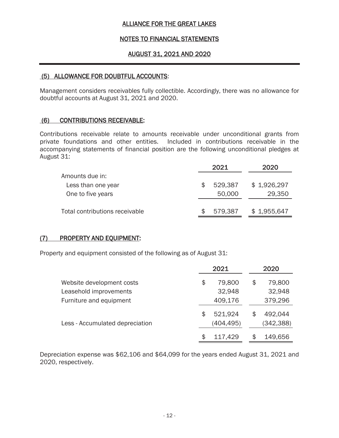# NOTES TO FINANCIAL STATEMENTS

# AUGUST 31, 2021 AND 2020

### (5) ALLOWANCE FOR DOUBTFUL ACCOUNTS:

Management considers receivables fully collectible. Accordingly, there was no allowance for doubtful accounts at August 31, 2021 and 2020.

#### (6) CONTRIBUTIONS RECEIVABLE:

Contributions receivable relate to amounts receivable under unconditional grants from private foundations and other entities. Included in contributions receivable in the accompanying statements of financial position are the following unconditional pledges at August 31:

|                                | 2021    | 2020        |
|--------------------------------|---------|-------------|
| Amounts due in:                |         |             |
| Less than one year             | 529,387 | \$1,926,297 |
| One to five years              | 50,000  | 29,350      |
|                                |         |             |
| Total contributions receivable | 579,387 | \$1,955,647 |
|                                |         |             |

# (7) PROPERTY AND EQUIPMENT:

Property and equipment consisted of the following as of August 31:

|                                 | 2021                       | 2020 |                      |  |  |
|---------------------------------|----------------------------|------|----------------------|--|--|
| Website development costs       | \$<br>79,800               | \$   | 79,800               |  |  |
| Leasehold improvements          | 32,948                     |      | 32,948               |  |  |
| Furniture and equipment         | 409,176                    |      | 379,296              |  |  |
| Less - Accumulated depreciation | \$<br>521,924<br>(404,495) | \$   | 492,044<br>(342,388) |  |  |
|                                 | \$<br>117,429              | \$.  | 149,656              |  |  |

Depreciation expense was \$62,106 and \$64,099 for the years ended August 31, 2021 and 2020, respectively.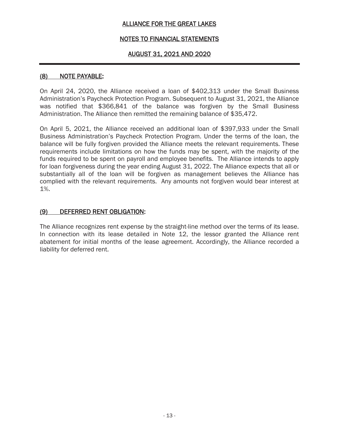# NOTES TO FINANCIAL STATEMENTS

# AUGUST 31, 2021 AND 2020

### (8) NOTE PAYABLE:

On April 24, 2020, the Alliance received a loan of \$402,313 under the Small Business Administration's Paycheck Protection Program. Subsequent to August 31, 2021, the Alliance was notified that \$366,841 of the balance was forgiven by the Small Business Administration. The Alliance then remitted the remaining balance of \$35,472.

On April 5, 2021, the Alliance received an additional loan of \$397,933 under the Small Business Administration's Paycheck Protection Program. Under the terms of the loan, the balance will be fully forgiven provided the Alliance meets the relevant requirements. These requirements include limitations on how the funds may be spent, with the majority of the funds required to be spent on payroll and employee benefits. The Alliance intends to apply for loan forgiveness during the year ending August 31, 2022. The Alliance expects that all or substantially all of the loan will be forgiven as management believes the Alliance has complied with the relevant requirements. Any amounts not forgiven would bear interest at 1%.

# (9) DEFERRED RENT OBLIGATION:

The Alliance recognizes rent expense by the straight-line method over the terms of its lease. In connection with its lease detailed in Note 12, the lessor granted the Alliance rent abatement for initial months of the lease agreement. Accordingly, the Alliance recorded a liability for deferred rent.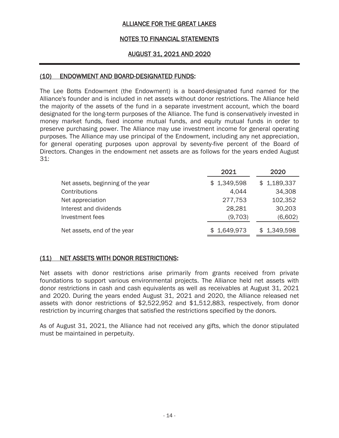# NOTES TO FINANCIAL STATEMENTS

# AUGUST 31, 2021 AND 2020

#### (10) ENDOWMENT AND BOARD-DESIGNATED FUNDS:

The Lee Botts Endowment (the Endowment) is a board-designated fund named for the Alliance's founder and is included in net assets without donor restrictions. The Alliance held the majority of the assets of the fund in a separate investment account, which the board designated for the long-term purposes of the Alliance. The fund is conservatively invested in money market funds, fixed income mutual funds, and equity mutual funds in order to preserve purchasing power. The Alliance may use investment income for general operating purposes. The Alliance may use principal of the Endowment, including any net appreciation, for general operating purposes upon approval by seventy-five percent of the Board of Directors. Changes in the endowment net assets are as follows for the years ended August 31:

|                                   | 2021        | 2020        |
|-----------------------------------|-------------|-------------|
| Net assets, beginning of the year | \$1,349,598 | \$1,189,337 |
| Contributions                     | 4,044       | 34,308      |
| Net appreciation                  | 277,753     | 102,352     |
| Interest and dividends            | 28,281      | 30,203      |
| Investment fees                   | (9,703)     | (6,602)     |
| Net assets, end of the year       | \$1,649,973 | \$1,349,598 |

# (11) NET ASSETS WITH DONOR RESTRICTIONS:

Net assets with donor restrictions arise primarily from grants received from private foundations to support various environmental projects. The Alliance held net assets with donor restrictions in cash and cash equivalents as well as receivables at August 31, 2021 and 2020. During the years ended August 31, 2021 and 2020, the Alliance released net assets with donor restrictions of \$2,522,952 and \$1,512,883, respectively, from donor restriction by incurring charges that satisfied the restrictions specified by the donors.

As of August 31, 2021, the Alliance had not received any gifts, which the donor stipulated must be maintained in perpetuity.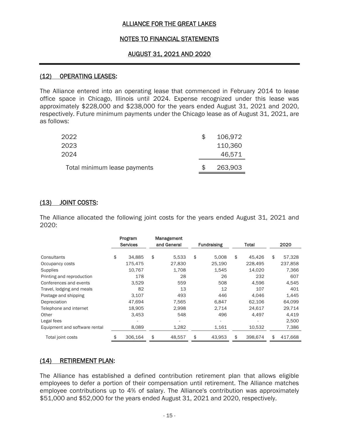### NOTES TO FINANCIAL STATEMENTS

# AUGUST 31, 2021 AND 2020

#### (12) 0PERATING LEASES:

The Alliance entered into an operating lease that commenced in February 2014 to lease office space in Chicago, Illinois until 2024. Expense recognized under this lease was approximately \$228,000 and \$238,000 for the years ended August 31, 2021 and 2020, respectively. Future minimum payments under the Chicago lease as of August 31, 2021, are as follows:

| 2022                         | S   | 106,972 |
|------------------------------|-----|---------|
| 2023                         |     | 110,360 |
| 2024                         |     | 46,571  |
| Total minimum lease payments | \$. | 263,903 |

#### (13) JOINT COSTS:

The Alliance allocated the following joint costs for the years ended August 31, 2021 and 2020:

|                               | Program<br><b>Services</b> |         | Management<br>and General |    | <b>Fundraising</b> | Total |         | 2020         |
|-------------------------------|----------------------------|---------|---------------------------|----|--------------------|-------|---------|--------------|
| Consultants                   | \$                         | 34,885  | \$<br>5,533               | \$ | 5.008              | \$    | 45.426  | \$<br>57,328 |
| Occupancy costs               |                            | 175,475 | 27,830                    |    | 25,190             |       | 228.495 | 237,858      |
| Supplies                      |                            | 10.767  | 1,708                     |    | 1,545              |       | 14,020  | 7,366        |
| Printing and reproduction     |                            | 178     | 28                        |    | 26                 |       | 232     | 607          |
| Conferences and events        |                            | 3,529   | 559                       |    | 508                |       | 4,596   | 4,545        |
| Travel, lodging and meals     |                            | 82      | 13                        |    | 12                 |       | 107     | 401          |
| Postage and shipping          |                            | 3,107   | 493                       |    | 446                |       | 4,046   | 1,445        |
| Depreciation                  |                            | 47,694  | 7,565                     |    | 6,847              |       | 62,106  | 64,099       |
| Telephone and internet        |                            | 18,905  | 2.998                     |    | 2,714              |       | 24,617  | 29,714       |
| Other                         |                            | 3,453   | 548                       |    | 496                |       | 4,497   | 4,419        |
| Legal fees                    |                            |         |                           |    |                    |       |         | 2,500        |
| Equipment and software rental |                            | 8,089   | 1,282                     |    | 1,161              |       | 10,532  | 7,386        |
| Total joint costs             | \$                         | 306,164 | \$<br>48,557              | \$ | 43,953             | \$    | 398,674 | 417.668      |

# (14) RETIREMENT PLAN:

The Alliance has established a defined contribution retirement plan that allows eligible employees to defer a portion of their compensation until retirement. The Alliance matches employee contributions up to 4% of salary. The Alliance's contribution was approximately \$51,000 and \$52,000 for the years ended August 31, 2021 and 2020, respectively.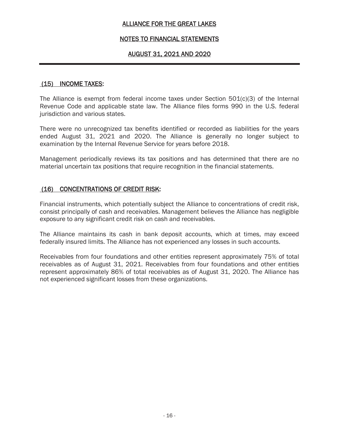# NOTES TO FINANCIAL STATEMENTS

# AUGUST 31, 2021 AND 2020

### (15) INCOME TAXES:

The Alliance is exempt from federal income taxes under Section  $501(c)(3)$  of the Internal Revenue Code and applicable state law. The Alliance files forms 990 in the U.S. federal jurisdiction and various states.

There were no unrecognized tax benefits identified or recorded as liabilities for the years ended August 31, 2021 and 2020. The Alliance is generally no longer subject to examination by the Internal Revenue Service for years before 2018.

Management periodically reviews its tax positions and has determined that there are no material uncertain tax positions that require recognition in the financial statements.

# (16) CONCENTRATIONS OF CREDIT RISK:

Financial instruments, which potentially subject the Alliance to concentrations of credit risk, consist principally of cash and receivables. Management believes the Alliance has negligible exposure to any significant credit risk on cash and receivables.

The Alliance maintains its cash in bank deposit accounts, which at times, may exceed federally insured limits. The Alliance has not experienced any losses in such accounts.

Receivables from four foundations and other entities represent approximately 75% of total receivables as of August 31, 2021. Receivables from four foundations and other entities represent approximately 86% of total receivables as of August 31, 2020. The Alliance has not experienced significant losses from these organizations.